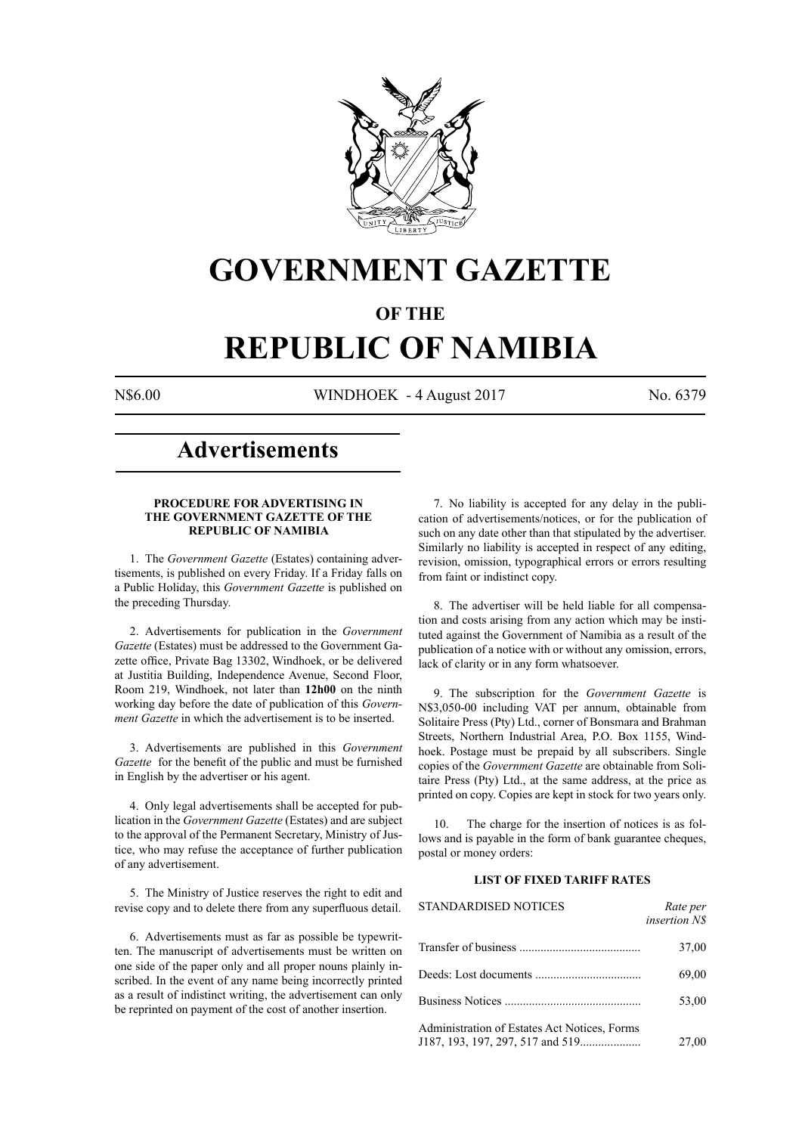

# **GOVERNMENT GAZETTE**

# **OF THE**

# **REPUBLIC OF NAMIBIA**

N\$6.00 WINDHOEK - 4 August 2017 No. 6379

# **Advertisements**

# **PROCEDURE FOR ADVERTISING IN THE GOVERNMENT GAZETTE OF THE REPUBLIC OF NAMIBIA**

1. The *Government Gazette* (Estates) containing advertisements, is published on every Friday. If a Friday falls on a Public Holiday, this *Government Gazette* is published on the preceding Thursday.

2. Advertisements for publication in the *Government Gazette* (Estates) must be addressed to the Government Gazette office, Private Bag 13302, Windhoek, or be delivered at Justitia Building, Independence Avenue, Second Floor, Room 219, Windhoek, not later than **12h00** on the ninth working day before the date of publication of this *Government Gazette* in which the advertisement is to be inserted.

3. Advertisements are published in this *Government Gazette* for the benefit of the public and must be furnished in English by the advertiser or his agent.

4. Only legal advertisements shall be accepted for publication in the *Government Gazette* (Estates) and are subject to the approval of the Permanent Secretary, Ministry of Justice, who may refuse the acceptance of further publication of any advertisement.

5. The Ministry of Justice reserves the right to edit and revise copy and to delete there from any superfluous detail.

6. Advertisements must as far as possible be typewritten. The manuscript of advertisements must be written on one side of the paper only and all proper nouns plainly inscribed. In the event of any name being incorrectly printed as a result of indistinct writing, the advertisement can only be reprinted on payment of the cost of another insertion.

7. No liability is accepted for any delay in the publication of advertisements/notices, or for the publication of such on any date other than that stipulated by the advertiser. Similarly no liability is accepted in respect of any editing, revision, omission, typographical errors or errors resulting from faint or indistinct copy.

8. The advertiser will be held liable for all compensation and costs arising from any action which may be instituted against the Government of Namibia as a result of the publication of a notice with or without any omission, errors, lack of clarity or in any form whatsoever.

9. The subscription for the *Government Gazette* is N\$3,050-00 including VAT per annum, obtainable from Solitaire Press (Pty) Ltd., corner of Bonsmara and Brahman Streets, Northern Industrial Area, P.O. Box 1155, Windhoek. Postage must be prepaid by all subscribers. Single copies of the *Government Gazette* are obtainable from Solitaire Press (Pty) Ltd., at the same address, at the price as printed on copy. Copies are kept in stock for two years only.

10. The charge for the insertion of notices is as follows and is payable in the form of bank guarantee cheques, postal or money orders:

# **LIST OF FIXED TARIFF RATES**

| <b>STANDARDISED NOTICES</b>                  | Rate per<br><i>insertion NS</i> |
|----------------------------------------------|---------------------------------|
|                                              | 37,00                           |
|                                              | 69,00                           |
|                                              | 53,00                           |
| Administration of Estates Act Notices, Forms | 27,00                           |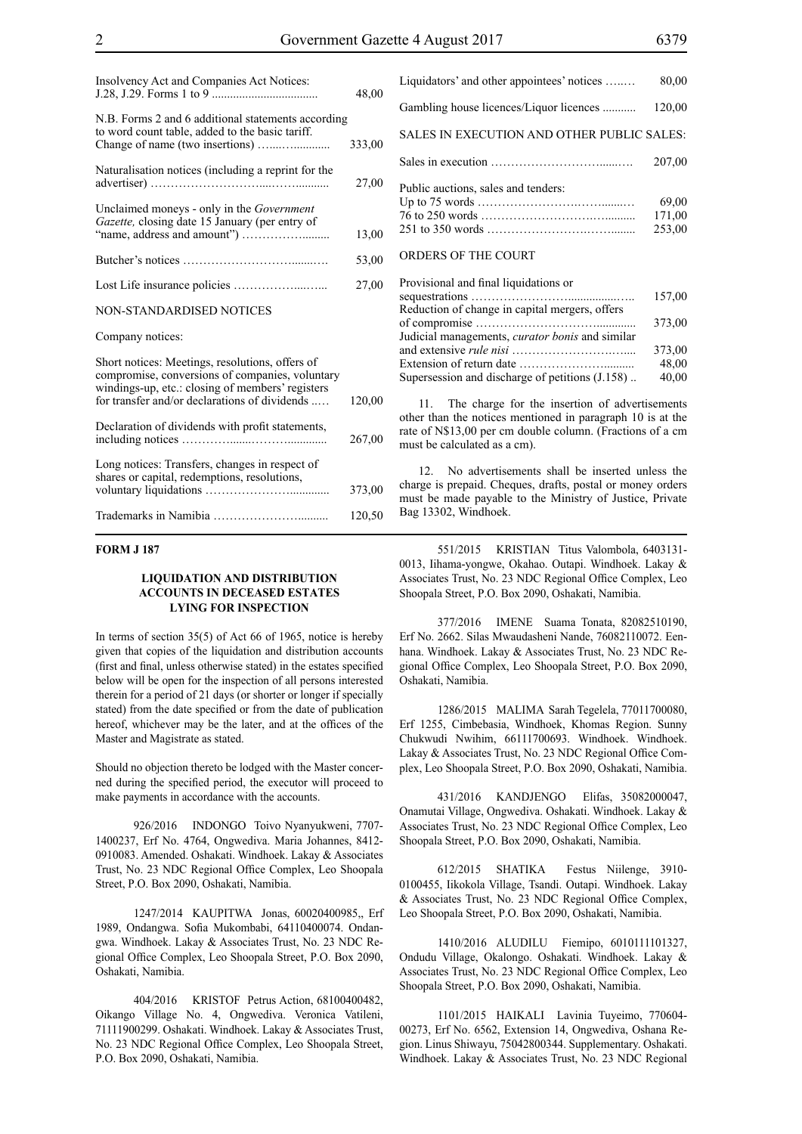| Insolvency Act and Companies Act Notices:                                                                                                                                                               | 48,00  |
|---------------------------------------------------------------------------------------------------------------------------------------------------------------------------------------------------------|--------|
| N.B. Forms 2 and 6 additional statements according<br>to word count table, added to the basic tariff.                                                                                                   | 333,00 |
| Naturalisation notices (including a reprint for the                                                                                                                                                     | 27,00  |
| Unclaimed moneys - only in the Government<br>Gazette, closing date 15 January (per entry of                                                                                                             | 13,00  |
|                                                                                                                                                                                                         | 53,00  |
|                                                                                                                                                                                                         | 27,00  |
| <b>NON-STANDARDISED NOTICES</b>                                                                                                                                                                         |        |
| Company notices:                                                                                                                                                                                        |        |
| Short notices: Meetings, resolutions, offers of<br>compromise, conversions of companies, voluntary<br>windings-up, etc.: closing of members' registers<br>for transfer and/or declarations of dividends | 120,00 |
| Declaration of dividends with profit statements,                                                                                                                                                        | 267,00 |
| Long notices: Transfers, changes in respect of<br>shares or capital, redemptions, resolutions,                                                                                                          | 373,00 |
|                                                                                                                                                                                                         | 120,50 |

# **FORM J 187**

# **LIQUIDATION AND DISTRIBUTION ACCOUNTS IN DECEASED ESTATES LYING FOR INSPECTION**

In terms of section 35(5) of Act 66 of 1965, notice is hereby given that copies of the liquidation and distribution accounts (first and final, unless otherwise stated) in the estates specified below will be open for the inspection of all persons interested therein for a period of 21 days (or shorter or longer if specially stated) from the date specified or from the date of publication hereof, whichever may be the later, and at the offices of the Master and Magistrate as stated.

Should no objection thereto be lodged with the Master concerned during the specified period, the executor will proceed to make payments in accordance with the accounts.

926/2016 INDONGO Toivo Nyanyukweni, 7707- 1400237, Erf No. 4764, Ongwediva. Maria Johannes, 8412- 0910083. Amended. Oshakati. Windhoek. Lakay & Associates Trust, No. 23 NDC Regional Office Complex, Leo Shoopala Street, P.O. Box 2090, Oshakati, Namibia.

1247/2014 KAUPITWA Jonas, 60020400985,, Erf 1989, Ondangwa. Sofia Mukombabi, 64110400074. Ondangwa. Windhoek. Lakay & Associates Trust, No. 23 NDC Regional Office Complex, Leo Shoopala Street, P.O. Box 2090, Oshakati, Namibia.

404/2016 KRISTOF Petrus Action, 68100400482, Oikango Village No. 4, Ongwediva. Veronica Vatileni, 71111900299. Oshakati. Windhoek. Lakay & Associates Trust, No. 23 NDC Regional Office Complex, Leo Shoopala Street, P.O. Box 2090, Oshakati, Namibia.

| Liquidators' and other appointees' notices | 80,00                     |
|--------------------------------------------|---------------------------|
| Gambling house licences/Liquor licences    | 120,00                    |
| SALES IN EXECUTION AND OTHER PUBLIC SALES: |                           |
|                                            | 207,00                    |
| Public auctions, sales and tenders:        | 69.00<br>171,00<br>253,00 |
| ORDERS OF THE COURT                        |                           |
| Dravisional and final liquidations or      |                           |

| 157,00                                                   |  |
|----------------------------------------------------------|--|
| Reduction of change in capital mergers, offers           |  |
| 373.00                                                   |  |
| Judicial managements, <i>curator bonis</i> and similar   |  |
| 373,00                                                   |  |
| 48,00                                                    |  |
| 40,00<br>Supersession and discharge of petitions (J.158) |  |

The charge for the insertion of advertisements other than the notices mentioned in paragraph 10 is at the rate of N\$13,00 per cm double column. (Fractions of a cm must be calculated as a cm).

12. No advertisements shall be inserted unless the charge is prepaid. Cheques, drafts, postal or money orders must be made payable to the Ministry of Justice, Private Bag 13302, Windhoek.

551/2015 KRISTIAN Titus Valombola, 6403131- 0013, Iihama-yongwe, Okahao. Outapi. Windhoek. Lakay & Associates Trust, No. 23 NDC Regional Office Complex, Leo Shoopala Street, P.O. Box 2090, Oshakati, Namibia.

377/2016 IMENE Suama Tonata, 82082510190, Erf No. 2662. Silas Mwaudasheni Nande, 76082110072. Eenhana. Windhoek. Lakay & Associates Trust, No. 23 NDC Regional Office Complex, Leo Shoopala Street, P.O. Box 2090, Oshakati, Namibia.

1286/2015 MALIMA Sarah Tegelela, 77011700080, Erf 1255, Cimbebasia, Windhoek, Khomas Region. Sunny Chukwudi Nwihim, 66111700693. Windhoek. Windhoek. Lakay & Associates Trust, No. 23 NDC Regional Office Complex, Leo Shoopala Street, P.O. Box 2090, Oshakati, Namibia.

431/2016 KANDJENGO Elifas, 35082000047, Onamutai Village, Ongwediva. Oshakati. Windhoek. Lakay & Associates Trust, No. 23 NDC Regional Office Complex, Leo Shoopala Street, P.O. Box 2090, Oshakati, Namibia.

612/2015 SHATIKA Festus Niilenge, 3910- 0100455, Iikokola Village, Tsandi. Outapi. Windhoek. Lakay & Associates Trust, No. 23 NDC Regional Office Complex, Leo Shoopala Street, P.O. Box 2090, Oshakati, Namibia.

1410/2016 ALUDILU Fiemipo, 6010111101327, Ondudu Village, Okalongo. Oshakati. Windhoek. Lakay & Associates Trust, No. 23 NDC Regional Office Complex, Leo Shoopala Street, P.O. Box 2090, Oshakati, Namibia.

1101/2015 HAIKALI Lavinia Tuyeimo, 770604- 00273, Erf No. 6562, Extension 14, Ongwediva, Oshana Region. Linus Shiwayu, 75042800344. Supplementary. Oshakati. Windhoek. Lakay & Associates Trust, No. 23 NDC Regional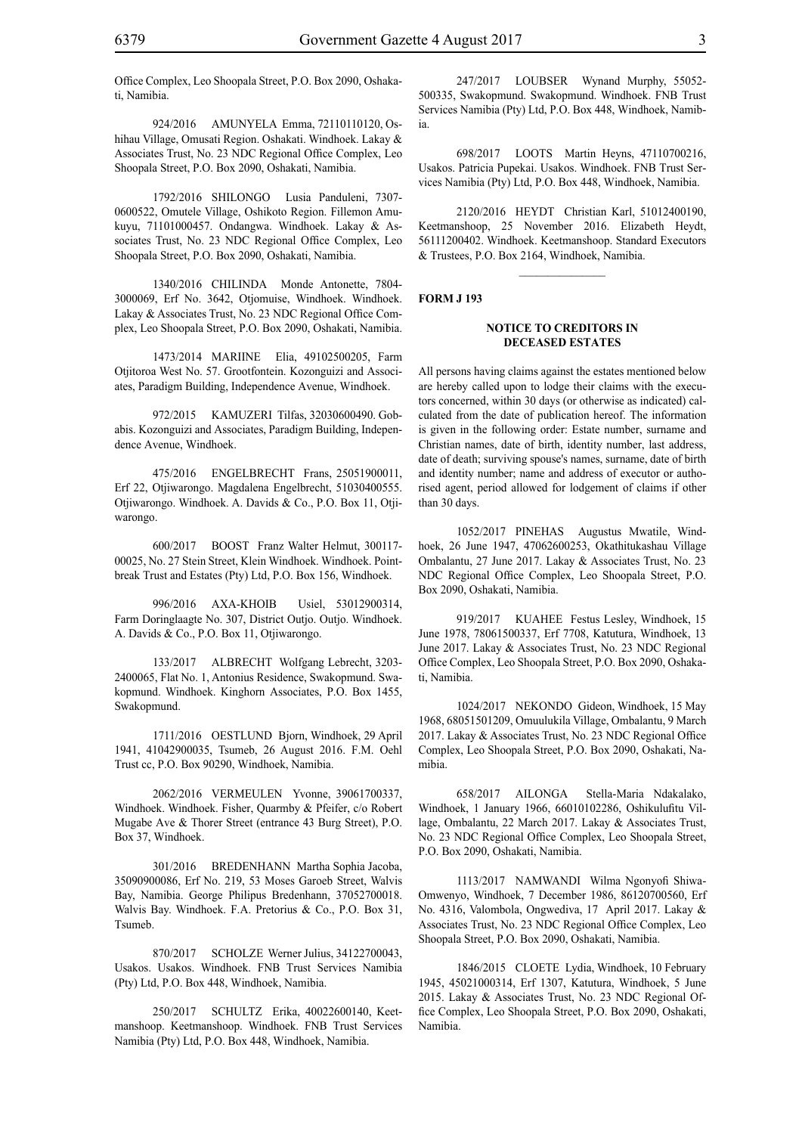Office Complex, Leo Shoopala Street, P.O. Box 2090, Oshakati, Namibia.

924/2016 AMUNYELA Emma, 72110110120, Oshihau Village, Omusati Region. Oshakati. Windhoek. Lakay & Associates Trust, No. 23 NDC Regional Office Complex, Leo Shoopala Street, P.O. Box 2090, Oshakati, Namibia.

1792/2016 SHILONGO Lusia Panduleni, 7307- 0600522, Omutele Village, Oshikoto Region. Fillemon Amukuyu, 71101000457. Ondangwa. Windhoek. Lakay & Associates Trust, No. 23 NDC Regional Office Complex, Leo Shoopala Street, P.O. Box 2090, Oshakati, Namibia.

1340/2016 CHILINDA Monde Antonette, 7804- 3000069, Erf No. 3642, Otjomuise, Windhoek. Windhoek. Lakay & Associates Trust, No. 23 NDC Regional Office Complex, Leo Shoopala Street, P.O. Box 2090, Oshakati, Namibia.

1473/2014 MARIINE Elia, 49102500205, Farm Otjitoroa West No. 57. Grootfontein. Kozonguizi and Associates, Paradigm Building, Independence Avenue, Windhoek.

972/2015 KAMUZERI Tilfas, 32030600490. Gobabis. Kozonguizi and Associates, Paradigm Building, Independence Avenue, Windhoek.

475/2016 ENGELBRECHT Frans, 25051900011, Erf 22, Otjiwarongo. Magdalena Engelbrecht, 51030400555. Otjiwarongo. Windhoek. A. Davids & Co., P.O. Box 11, Otjiwarongo.

600/2017 BOOST Franz Walter Helmut, 300117- 00025, No. 27 Stein Street, Klein Windhoek. Windhoek. Pointbreak Trust and Estates (Pty) Ltd, P.O. Box 156, Windhoek.

996/2016 AXA-KHOIB Usiel, 53012900314, Farm Doringlaagte No. 307, District Outjo. Outjo. Windhoek. A. Davids & Co., P.O. Box 11, Otjiwarongo.

133/2017 ALBRECHT Wolfgang Lebrecht, 3203- 2400065, Flat No. 1, Antonius Residence, Swakopmund. Swakopmund. Windhoek. Kinghorn Associates, P.O. Box 1455, Swakopmund.

1711/2016 OESTLUND Bjorn, Windhoek, 29 April 1941, 41042900035, Tsumeb, 26 August 2016. F.M. Oehl Trust cc, P.O. Box 90290, Windhoek, Namibia.

2062/2016 VERMEULEN Yvonne, 39061700337, Windhoek. Windhoek. Fisher, Quarmby & Pfeifer, c/o Robert Mugabe Ave & Thorer Street (entrance 43 Burg Street), P.O. Box 37, Windhoek.

301/2016 BREDENHANN Martha Sophia Jacoba, 35090900086, Erf No. 219, 53 Moses Garoeb Street, Walvis Bay, Namibia. George Philipus Bredenhann, 37052700018. Walvis Bay. Windhoek. F.A. Pretorius & Co., P.O. Box 31, Tsumeb.

870/2017 SCHOLZE Werner Julius, 34122700043, Usakos. Usakos. Windhoek. FNB Trust Services Namibia (Pty) Ltd, P.O. Box 448, Windhoek, Namibia.

250/2017 SCHULTZ Erika, 40022600140, Keetmanshoop. Keetmanshoop. Windhoek. FNB Trust Services Namibia (Pty) Ltd, P.O. Box 448, Windhoek, Namibia.

247/2017 LOUBSER Wynand Murphy, 55052- 500335, Swakopmund. Swakopmund. Windhoek. FNB Trust Services Namibia (Pty) Ltd, P.O. Box 448, Windhoek, Namibia.

698/2017 LOOTS Martin Heyns, 47110700216, Usakos. Patricia Pupekai. Usakos. Windhoek. FNB Trust Services Namibia (Pty) Ltd, P.O. Box 448, Windhoek, Namibia.

2120/2016 HEYDT Christian Karl, 51012400190, Keetmanshoop, 25 November 2016. Elizabeth Heydt, 56111200402. Windhoek. Keetmanshoop. Standard Executors & Trustees, P.O. Box 2164, Windhoek, Namibia.

 $\overline{\phantom{a}}$  ,  $\overline{\phantom{a}}$  ,  $\overline{\phantom{a}}$  ,  $\overline{\phantom{a}}$  ,  $\overline{\phantom{a}}$  ,  $\overline{\phantom{a}}$  ,  $\overline{\phantom{a}}$  ,  $\overline{\phantom{a}}$  ,  $\overline{\phantom{a}}$  ,  $\overline{\phantom{a}}$  ,  $\overline{\phantom{a}}$  ,  $\overline{\phantom{a}}$  ,  $\overline{\phantom{a}}$  ,  $\overline{\phantom{a}}$  ,  $\overline{\phantom{a}}$  ,  $\overline{\phantom{a}}$ 

#### **FORM J 193**

## **NOTICE TO CREDITORS IN DECEASED ESTATES**

All persons having claims against the estates mentioned below are hereby called upon to lodge their claims with the executors concerned, within 30 days (or otherwise as indicated) calculated from the date of publication hereof. The information is given in the following order: Estate number, surname and Christian names, date of birth, identity number, last address, date of death; surviving spouse's names, surname, date of birth and identity number; name and address of executor or authorised agent, period allowed for lodgement of claims if other than 30 days.

1052/2017 PINEHAS Augustus Mwatile, Windhoek, 26 June 1947, 47062600253, Okathitukashau Village Ombalantu, 27 June 2017. Lakay & Associates Trust, No. 23 NDC Regional Office Complex, Leo Shoopala Street, P.O. Box 2090, Oshakati, Namibia.

919/2017 KUAHEE Festus Lesley, Windhoek, 15 June 1978, 78061500337, Erf 7708, Katutura, Windhoek, 13 June 2017. Lakay & Associates Trust, No. 23 NDC Regional Office Complex, Leo Shoopala Street, P.O. Box 2090, Oshakati, Namibia.

1024/2017 NEKONDO Gideon, Windhoek, 15 May 1968, 68051501209, Omuulukila Village, Ombalantu, 9 March 2017. Lakay & Associates Trust, No. 23 NDC Regional Office Complex, Leo Shoopala Street, P.O. Box 2090, Oshakati, Namibia.

658/2017 AILONGA Stella-Maria Ndakalako, Windhoek, 1 January 1966, 66010102286, Oshikulufitu Village, Ombalantu, 22 March 2017. Lakay & Associates Trust, No. 23 NDC Regional Office Complex, Leo Shoopala Street, P.O. Box 2090, Oshakati, Namibia.

1113/2017 NAMWANDI Wilma Ngonyofi Shiwa-Omwenyo, Windhoek, 7 December 1986, 86120700560, Erf No. 4316, Valombola, Ongwediva, 17 April 2017. Lakay & Associates Trust, No. 23 NDC Regional Office Complex, Leo Shoopala Street, P.O. Box 2090, Oshakati, Namibia.

1846/2015 CLOETE Lydia, Windhoek, 10 February 1945, 45021000314, Erf 1307, Katutura, Windhoek, 5 June 2015. Lakay & Associates Trust, No. 23 NDC Regional Office Complex, Leo Shoopala Street, P.O. Box 2090, Oshakati, Namibia.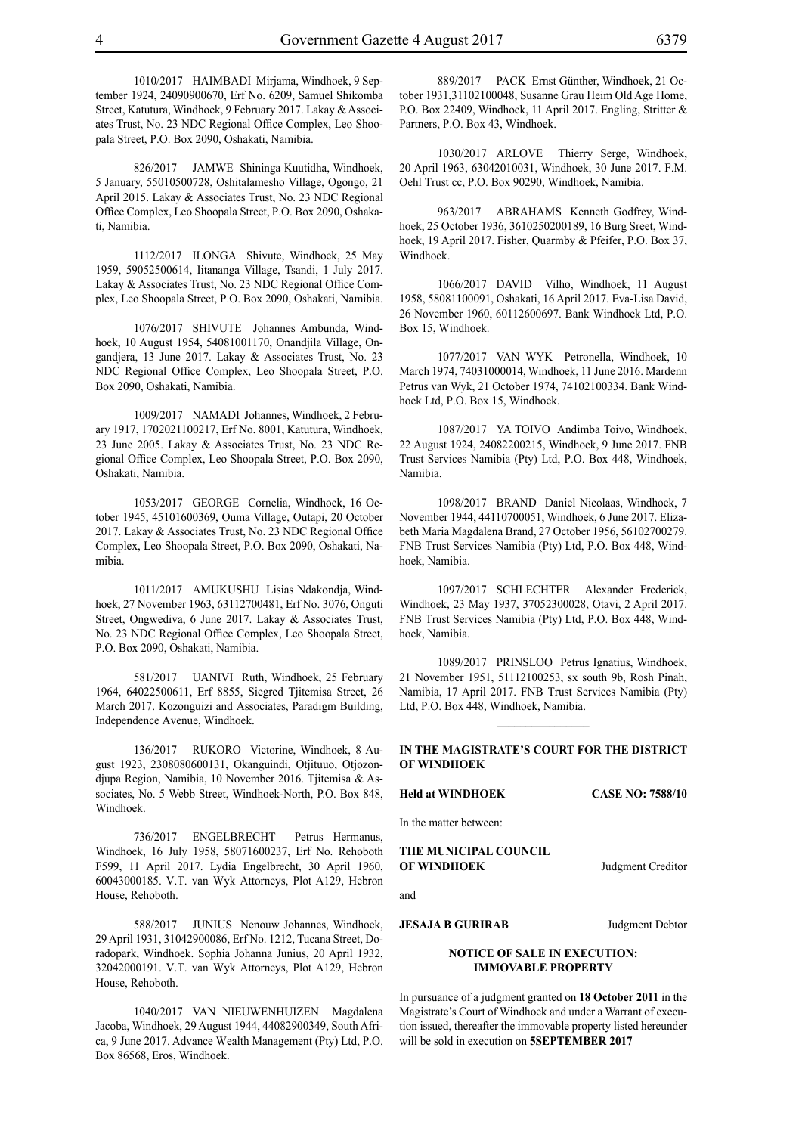1010/2017 HAIMBADI Mirjama, Windhoek, 9 September 1924, 24090900670, Erf No. 6209, Samuel Shikomba Street, Katutura, Windhoek, 9 February 2017. Lakay & Associates Trust, No. 23 NDC Regional Office Complex, Leo Shoopala Street, P.O. Box 2090, Oshakati, Namibia.

826/2017 JAMWE Shininga Kuutidha, Windhoek, 5 January, 55010500728, Oshitalamesho Village, Ogongo, 21 April 2015. Lakay & Associates Trust, No. 23 NDC Regional Office Complex, Leo Shoopala Street, P.O. Box 2090, Oshakati, Namibia.

1112/2017 ILONGA Shivute, Windhoek, 25 May 1959, 59052500614, Iitananga Village, Tsandi, 1 July 2017. Lakay & Associates Trust, No. 23 NDC Regional Office Complex, Leo Shoopala Street, P.O. Box 2090, Oshakati, Namibia.

1076/2017 SHIVUTE Johannes Ambunda, Windhoek, 10 August 1954, 54081001170, Onandjila Village, Ongandjera, 13 June 2017. Lakay & Associates Trust, No. 23 NDC Regional Office Complex, Leo Shoopala Street, P.O. Box 2090, Oshakati, Namibia.

1009/2017 NAMADI Johannes, Windhoek, 2 February 1917, 1702021100217, Erf No. 8001, Katutura, Windhoek, 23 June 2005. Lakay & Associates Trust, No. 23 NDC Regional Office Complex, Leo Shoopala Street, P.O. Box 2090, Oshakati, Namibia.

1053/2017 GEORGE Cornelia, Windhoek, 16 October 1945, 45101600369, Ouma Village, Outapi, 20 October 2017. Lakay & Associates Trust, No. 23 NDC Regional Office Complex, Leo Shoopala Street, P.O. Box 2090, Oshakati, Namibia.

1011/2017 AMUKUSHU Lisias Ndakondja, Windhoek, 27 November 1963, 63112700481, Erf No. 3076, Onguti Street, Ongwediva, 6 June 2017. Lakay & Associates Trust, No. 23 NDC Regional Office Complex, Leo Shoopala Street, P.O. Box 2090, Oshakati, Namibia.

581/2017 UANIVI Ruth, Windhoek, 25 February 1964, 64022500611, Erf 8855, Siegred Tjitemisa Street, 26 March 2017. Kozonguizi and Associates, Paradigm Building, Independence Avenue, Windhoek.

136/2017 RUKORO Victorine, Windhoek, 8 August 1923, 2308080600131, Okanguindi, Otjituuo, Otjozondjupa Region, Namibia, 10 November 2016. Tjitemisa & Associates, No. 5 Webb Street, Windhoek-North, P.O. Box 848, Windhoek.

736/2017 ENGELBRECHT Petrus Hermanus, Windhoek, 16 July 1958, 58071600237, Erf No. Rehoboth F599, 11 April 2017. Lydia Engelbrecht, 30 April 1960, 60043000185. V.T. van Wyk Attorneys, Plot A129, Hebron House, Rehoboth.

588/2017 JUNIUS Nenouw Johannes, Windhoek, 29 April 1931, 31042900086, Erf No. 1212, Tucana Street, Doradopark, Windhoek. Sophia Johanna Junius, 20 April 1932, 32042000191. V.T. van Wyk Attorneys, Plot A129, Hebron House, Rehoboth.

1040/2017 VAN NIEUWENHUIZEN Magdalena Jacoba, Windhoek, 29 August 1944, 44082900349, South Africa, 9 June 2017. Advance Wealth Management (Pty) Ltd, P.O. Box 86568, Eros, Windhoek.

889/2017 PACK Ernst Günther, Windhoek, 21 October 1931,31102100048, Susanne Grau Heim Old Age Home, P.O. Box 22409, Windhoek, 11 April 2017. Engling, Stritter & Partners, P.O. Box 43, Windhoek.

1030/2017 ARLOVE Thierry Serge, Windhoek, 20 April 1963, 63042010031, Windhoek, 30 June 2017. F.M. Oehl Trust cc, P.O. Box 90290, Windhoek, Namibia.

963/2017 ABRAHAMS Kenneth Godfrey, Windhoek, 25 October 1936, 3610250200189, 16 Burg Sreet, Windhoek, 19 April 2017. Fisher, Quarmby & Pfeifer, P.O. Box 37, Windhoek.

1066/2017 DAVID Vilho, Windhoek, 11 August 1958, 58081100091, Oshakati, 16 April 2017. Eva-Lisa David, 26 November 1960, 60112600697. Bank Windhoek Ltd, P.O. Box 15, Windhoek.

1077/2017 VAN WYK Petronella, Windhoek, 10 March 1974, 74031000014, Windhoek, 11 June 2016. Mardenn Petrus van Wyk, 21 October 1974, 74102100334. Bank Windhoek Ltd, P.O. Box 15, Windhoek.

1087/2017 YA TOIVO Andimba Toivo, Windhoek, 22 August 1924, 24082200215, Windhoek, 9 June 2017. FNB Trust Services Namibia (Pty) Ltd, P.O. Box 448, Windhoek, Namibia.

1098/2017 BRAND Daniel Nicolaas, Windhoek, 7 November 1944, 44110700051, Windhoek, 6 June 2017. Elizabeth Maria Magdalena Brand, 27 October 1956, 56102700279. FNB Trust Services Namibia (Pty) Ltd, P.O. Box 448, Windhoek, Namibia.

1097/2017 SCHLECHTER Alexander Frederick, Windhoek, 23 May 1937, 37052300028, Otavi, 2 April 2017. FNB Trust Services Namibia (Pty) Ltd, P.O. Box 448, Windhoek, Namibia.

1089/2017 PRINSLOO Petrus Ignatius, Windhoek, 21 November 1951, 51112100253, sx south 9b, Rosh Pinah, Namibia, 17 April 2017. FNB Trust Services Namibia (Pty) Ltd, P.O. Box 448, Windhoek, Namibia.

 $\frac{1}{2}$ 

# **IN THE MAGISTRATE'S COURT FOR THE DISTRICT OF WINDHOEK**

**Held at WINDHOEK CASE NO: 7588/10**

In the matter between:

**THE MUNICIPAL COUNCIL OF WINDHOEK** Judgment Creditor

and

**JESAJA B GURIRAB** Judgment Debtor

**NOTICE OF SALE IN EXECUTION: IMMOVABLE PROPERTY**

In pursuance of a judgment granted on **18 October 2011** in the Magistrate's Court of Windhoek and under a Warrant of execution issued, thereafter the immovable property listed hereunder will be sold in execution on **5SEPTEMBER 2017**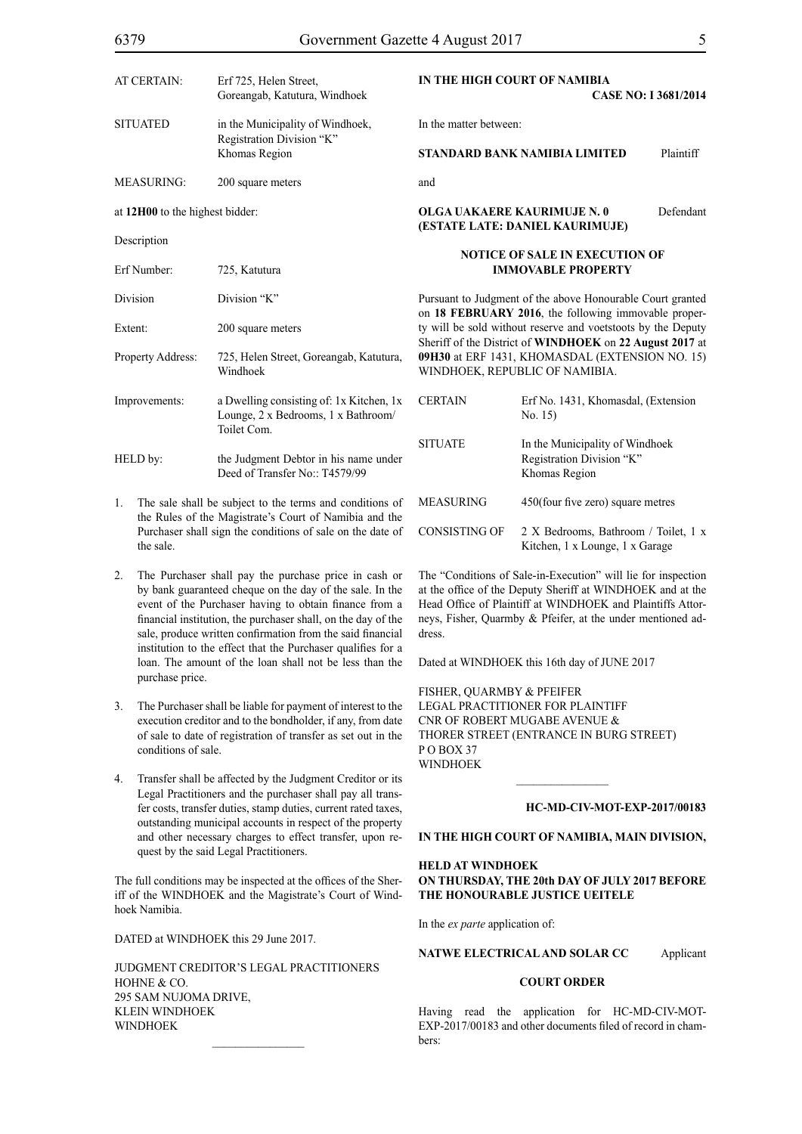| AT CERTAIN:                     | Erf 725, Helen Street,<br>Goreangab, Katutura, Windhoek                                        |                                                                                                                                                                                                                                                                                                | IN THE HIGH COURT OF NAMIBIA<br><b>CASE NO: I368</b>                          |                |  |
|---------------------------------|------------------------------------------------------------------------------------------------|------------------------------------------------------------------------------------------------------------------------------------------------------------------------------------------------------------------------------------------------------------------------------------------------|-------------------------------------------------------------------------------|----------------|--|
| <b>SITUATED</b>                 | in the Municipality of Windhoek,<br>Registration Division "K"<br>Khomas Region                 | In the matter between:                                                                                                                                                                                                                                                                         |                                                                               |                |  |
|                                 |                                                                                                |                                                                                                                                                                                                                                                                                                | STANDARD BANK NAMIBIA LIMITED                                                 | P <sub>1</sub> |  |
| <b>MEASURING:</b>               | 200 square meters                                                                              | and                                                                                                                                                                                                                                                                                            |                                                                               |                |  |
| at 12H00 to the highest bidder: |                                                                                                |                                                                                                                                                                                                                                                                                                | <b>OLGA UAKAERE KAURIMUJE N. 0</b><br>(ESTATE LATE: DANIEL KAURIMUJE)         | De             |  |
| Description                     |                                                                                                |                                                                                                                                                                                                                                                                                                |                                                                               |                |  |
| Erf Number:                     | 725, Katutura                                                                                  | NOTICE OF SALE IN EXECUTION OF<br><b>IMMOVABLE PROPERTY</b>                                                                                                                                                                                                                                    |                                                                               |                |  |
| Division                        | Division "K"                                                                                   | Pursuant to Judgment of the above Honourable Court<br>on 18 FEBRUARY 2016, the following immovable<br>ty will be sold without reserve and voetstoots by the<br>Sheriff of the District of WINDHOEK on 22 August<br>09H30 at ERF 1431, KHOMASDAL (EXTENSION 1<br>WINDHOEK, REPUBLIC OF NAMIBIA. |                                                                               |                |  |
| Extent:                         | 200 square meters                                                                              |                                                                                                                                                                                                                                                                                                |                                                                               |                |  |
| Property Address:               | 725, Helen Street, Goreangab, Katutura,<br>Windhoek                                            |                                                                                                                                                                                                                                                                                                |                                                                               |                |  |
| Improvements:                   | a Dwelling consisting of: 1x Kitchen, 1x<br>Lounge, 2 x Bedrooms, 1 x Bathroom/<br>Toilet Com. | <b>CERTAIN</b>                                                                                                                                                                                                                                                                                 | Erf No. 1431, Khomasdal, (Exteri<br>No. 15)                                   |                |  |
| HELD by:                        | the Judgment Debtor in his name under<br>Deed of Transfer No.: T4579/99                        | <b>SITUATE</b>                                                                                                                                                                                                                                                                                 | In the Municipality of Windhoek<br>Registration Division "K"<br>Khomas Region |                |  |
| 1.                              | The sale shall be subject to the terms and conditions of                                       | <b>MEASURING</b>                                                                                                                                                                                                                                                                               | 450(four five zero) square metre                                              |                |  |

- the Rules of the Magistrate's Court of Namibia and the Purchaser shall sign the conditions of sale on the date of the sale.
- 2. The Purchaser shall pay the purchase price in cash or by bank guaranteed cheque on the day of the sale. In the event of the Purchaser having to obtain finance from a financial institution, the purchaser shall, on the day of the sale, produce written confirmation from the said financial institution to the effect that the Purchaser qualifies for a loan. The amount of the loan shall not be less than the purchase price.
- 3. The Purchaser shall be liable for payment of interest to the execution creditor and to the bondholder, if any, from date of sale to date of registration of transfer as set out in the conditions of sale.
- 4. Transfer shall be affected by the Judgment Creditor or its Legal Practitioners and the purchaser shall pay all transfer costs, transfer duties, stamp duties, current rated taxes, outstanding municipal accounts in respect of the property and other necessary charges to effect transfer, upon request by the said Legal Practitioners.

The full conditions may be inspected at the offices of the Sheriff of the WINDHOEK and the Magistrate's Court of Windhoek Namibia.

DATED at WINDHOEK this 29 June 2017.

Judgment Creditor's Legal Practitioners HOHNE & CO. 295 Sam Nujoma Drive, Klein Windhoek **WINDHOEK** 

# **CASE NO: I 3681/2014**

**STANDARD BANK NAMIBIA LIMITED** Plaintiff

# *<u>E</u>* Exercises

granted proper-Deputy Sheriff of the District of **WINDHOEK** on **22 August 2017** at **NO. 15)** 

| CERTAIN        | Erf No. 1431, Khomasdal, (Extension<br>No. 15)                                |
|----------------|-------------------------------------------------------------------------------|
| <b>SITUATE</b> | In the Municipality of Windhoek<br>Registration Division "K"<br>Khomas Region |
| MEASURING      | 450(four five zero) square metres                                             |
| CONSISTING OF  | 2 X Bedrooms, Bathroom / Toilet, 1 x<br>Kitchen, 1 x Lounge, 1 x Garage       |

The "Conditions of Sale-in-Execution" will lie for inspection at the office of the Deputy Sheriff at WINDHOEK and at the Head Office of Plaintiff at WINDHOEK and Plaintiffs Attorneys, Fisher, Quarmby & Pfeifer, at the under mentioned address.

Dated at WINDHOEK this 16th day of JUNE 2017

FISHER, QUARMBY & PFEIFER LEGAL PRACTITIONER FOR PLAINTIFF Cnr of Robert Mugabe Avenue & Thorer Street (entrance in Burg Street) P O Box 37 WINDHOEK

## **HC-MD-CIV-MOT-EXP-2017/00183**

# **IN THE HIGH COURT OF NAMIBIA, MAIN DIVISION,**

 $\frac{1}{2}$ 

# **HELD AT WINDHOEK ON THURSDAY, THE 20th DAY OF JULY 2017 BEFORE THE HONOURABLE JUSTICE UEITELE**

In the *ex parte* application of:

**NATWE ELECTRICAL AND SOLAR CC** Applicant

# **COURT ORDER**

Having read the application for HC-MD-CIV-MOT-EXP-2017/00183 and other documents filed of record in chambers: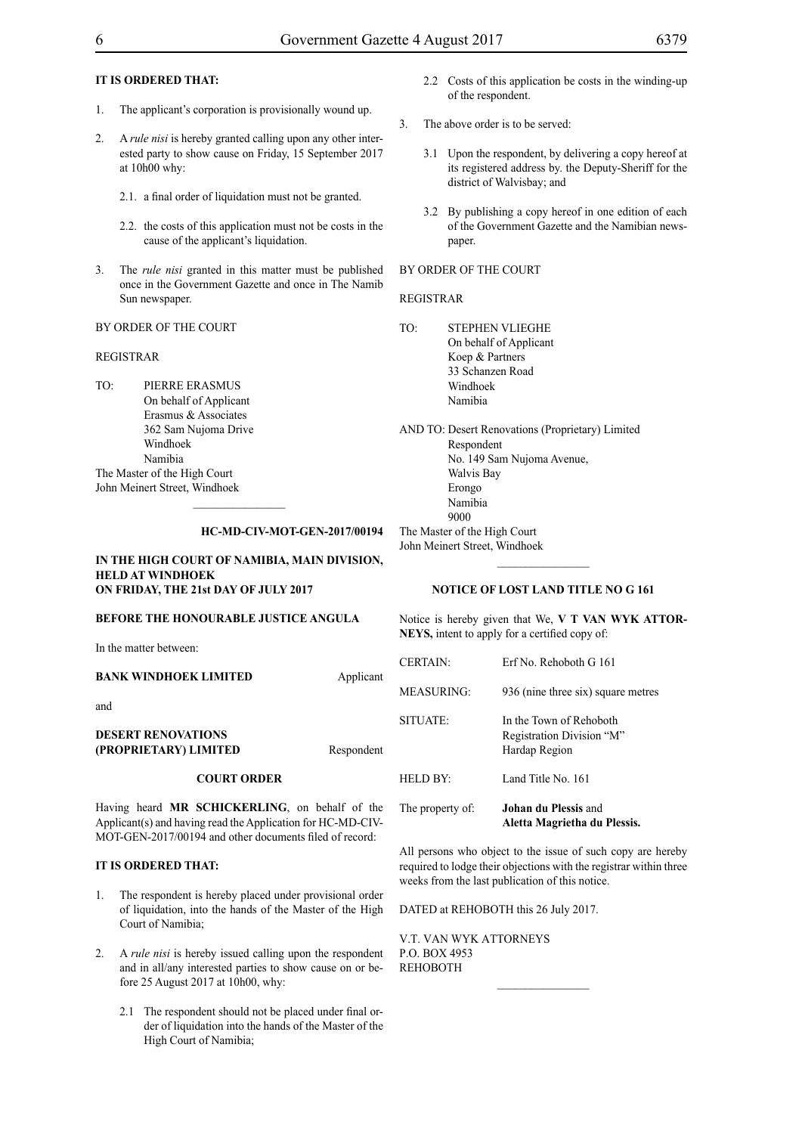# **IT IS ORDERED THAT:**

- 1. The applicant's corporation is provisionally wound up.
- 2. A *rule nisi* is hereby granted calling upon any other interested party to show cause on Friday, 15 September 2017 at 10h00 why:
	- 2.1. a final order of liquidation must not be granted.
	- 2.2. the costs of this application must not be costs in the cause of the applicant's liquidation.
- 3. The *rule nisi* granted in this matter must be published once in the Government Gazette and once in The Namib Sun newspaper.

BY ORDER OF THE COURT

# REGISTRAR

TO: PIERRE ERASMUS On behalf of Applicant Erasmus & Associates 362 Sam Nujoma Drive Windhoek Namibia The Master of the High Court John Meinert Street, Windhoek

# **HC-MD-CIV-MOT-GEN-2017/00194**

# **IN THE HIGH COURT OF NAMIBIA, MAIN DIVISION, HELD AT WINDHOEK ON FRIDAY, THE 21st DAY OF JULY 2017**

# **BEFORE THE HONOURABLE JUSTICE ANGULA**

In the matter between:

### **BANK WINDHOEK LIMITED** Applicant

and

# **DESERT RENOVATIONS (PROPRIETARY) LIMITED** Respondent

#### **COURT ORDER**

Having heard **MR SCHICKERLING**, on behalf of the Applicant(s) and having read the Application for HC-MD-CIV-MOT-GEN-2017/00194 and other documents filed of record:

## **IT IS ORDERED THAT:**

- 1. The respondent is hereby placed under provisional order of liquidation, into the hands of the Master of the High Court of Namibia;
- 2. A *rule nisi* is hereby issued calling upon the respondent and in all/any interested parties to show cause on or before 25 August 2017 at 10h00, why:
	- 2.1 The respondent should not be placed under final order of liquidation into the hands of the Master of the High Court of Namibia;
- 2.2 Costs of this application be costs in the winding-up of the respondent.
- 3. The above order is to be served:
	- 3.1 Upon the respondent, by delivering a copy hereof at its registered address by. the Deputy-Sheriff for the district of Walvisbay; and
	- 3.2 By publishing a copy hereof in one edition of each of the Government Gazette and the Namibian newspaper.

# BY ORDER OF THE COURT

#### REGISTRAR

TO: STEPHEN VLIEGHE On behalf of Applicant Koep & Partners 33 Schanzen Road Windhoek Namibia

AND TO: Desert Renovations (Proprietary) Limited Respondent No. 149 Sam Nujoma Avenue, Walvis Bay Erongo Namibia 9000 The Master of the High Court John Meinert Street, Windhoek

### **NOTICE OF LOST LAND TITLE NO G 161**

 $\frac{1}{2}$ 

Notice is hereby given that We, **V T VAN WYK ATTOR-NEYS,** intent to apply for a certified copy of:

| The property of: | <b>Johan du Plessis and</b><br>Aletta Magrietha du Plessis.           |
|------------------|-----------------------------------------------------------------------|
| HELD BY:         | Land Title No. 161                                                    |
| SITUATE:         | In the Town of Rehoboth<br>Registration Division "M"<br>Hardap Region |
| MEASURING:       | 936 (nine three six) square metres                                    |
| <b>CERTAIN:</b>  | Erf No. Rehoboth G 161                                                |

All persons who object to the issue of such copy are hereby required to lodge their objections with the registrar within three weeks from the last publication of this notice.

DATED at REHOBOTH this 26 July 2017.

V.T. van Wyk Attorneys P.O. Box 4953 **REHOBOTH**  $\frac{1}{2}$